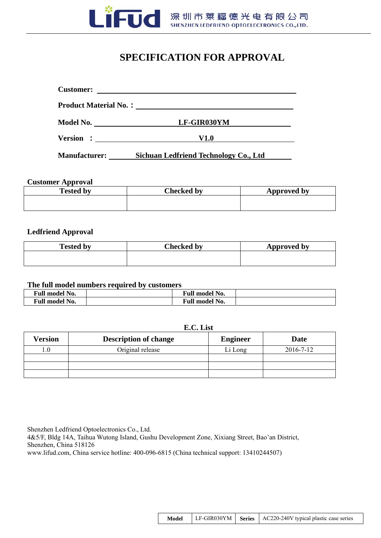

## **SPECIFICATION FOR APPROVAL**

| <b>Customer:</b>             |             |  |
|------------------------------|-------------|--|
| <b>Product Material No.:</b> |             |  |
| Model No.                    | LF-GIR030YM |  |
| Version :                    | V1.0        |  |

**Manufacturer: Sichuan Ledfriend Technology Co., Ltd** 

#### **Customer Approval**

| <b>Tested by</b> | Checked by | Approved by |
|------------------|------------|-------------|
|                  |            |             |
|                  |            |             |

#### **Ledfriend Approval**

| <b>Tested by</b> | Checked by | Approved by |
|------------------|------------|-------------|
|                  |            |             |

#### **The full model numbers required by customers**

| <b>Full model No.</b> | <b>Full model No.</b> |  |
|-----------------------|-----------------------|--|
| <b>Full model No.</b> | <b>Full model No.</b> |  |

### **E.C. List**

| <b>Version</b> | <b>Description of change</b> | <b>Engineer</b> | Date      |
|----------------|------------------------------|-----------------|-----------|
|                | Original release             | Li Long         | 2016-7-12 |
|                |                              |                 |           |
|                |                              |                 |           |
|                |                              |                 |           |

Shenzhen Ledfriend Optoelectronics Co., Ltd. 4&5/F, Bldg 14A, Taihua Wutong Island, Gushu Development Zone, Xixiang Street, Bao'an District, Shenzhen, China 518126 www.lifud.com, China service hotline: 400-096-6815 (China technical support: 13410244507)

| Model |  |  | LE-GIR030YM   Series   AC220-240V typical plastic case series |
|-------|--|--|---------------------------------------------------------------|
|-------|--|--|---------------------------------------------------------------|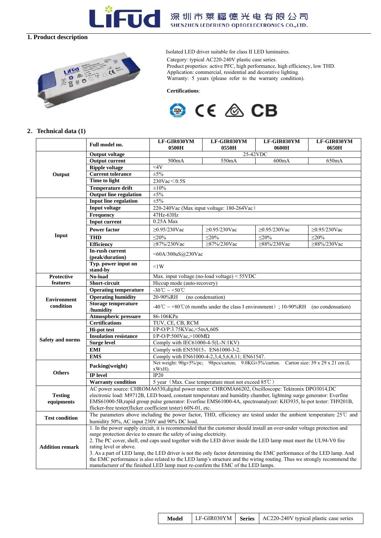

# - UC 深圳市莱福德光电有限公司

#### **1. Product description**



Isolated LED driver suitable for class II LED luminaires. Category: typical AC220-240V plastic case series. Product properties: active PFC, high performance, high efficiency, low THD. Application: commercial, residential and decorative lighting. Warranty: 5 years (please refer to the warranty condition).

 **Certifications**:



#### **2**.**Technical data (1)**

|                         | Full model no.                                                                                                                                                                          | LF-GIR030YM<br>0500H                                                                                                   | LF-GIR030YM<br>0550H                                | LF-GIR030YM<br>0600H | LF-GIR030YM<br>0650H |  |
|-------------------------|-----------------------------------------------------------------------------------------------------------------------------------------------------------------------------------------|------------------------------------------------------------------------------------------------------------------------|-----------------------------------------------------|----------------------|----------------------|--|
|                         | <b>Output voltage</b>                                                                                                                                                                   | 25-42VDC                                                                                                               |                                                     |                      |                      |  |
|                         | <b>Output current</b>                                                                                                                                                                   | 500mA<br>550mA<br>600mA<br>650mA                                                                                       |                                                     |                      |                      |  |
|                         | <b>Ripple voltage</b>                                                                                                                                                                   | 44V                                                                                                                    |                                                     |                      |                      |  |
| Output                  | <b>Current tolerance</b>                                                                                                                                                                | $\pm 5\%$                                                                                                              |                                                     |                      |                      |  |
|                         | Time to light                                                                                                                                                                           | 230Vac < 0.5S                                                                                                          |                                                     |                      |                      |  |
|                         | <b>Temperature drift</b>                                                                                                                                                                | $\pm 10\%$<br>$\pm 5\%$                                                                                                |                                                     |                      |                      |  |
|                         | <b>Output line</b> regulation                                                                                                                                                           |                                                                                                                        |                                                     |                      |                      |  |
|                         | <b>Input line regulation</b>                                                                                                                                                            | $\pm 5\%$                                                                                                              |                                                     |                      |                      |  |
|                         | <b>Input voltage</b>                                                                                                                                                                    | 220-240Vac (Max input voltage: 180-264Vac)<br>47Hz-63Hz                                                                |                                                     |                      |                      |  |
|                         | Frequency                                                                                                                                                                               |                                                                                                                        |                                                     |                      |                      |  |
|                         | <b>Input current</b>                                                                                                                                                                    | 0.25A Max                                                                                                              |                                                     |                      |                      |  |
|                         | <b>Power factor</b>                                                                                                                                                                     | $≥$ 0.95/230Vac                                                                                                        | $≥0.95/230$ Vac                                     | $≥0.95/230$ Vac      | $≥0.95/230$ Vac      |  |
| Input                   | <b>THD</b>                                                                                                                                                                              | $\leq$ 20%                                                                                                             | $\leq$ 20%                                          | $\leq$ 20%           | $\leq$ 20%           |  |
|                         | <b>Efficiency</b>                                                                                                                                                                       | ≥87%/230Vac                                                                                                            | $\geq$ 87%/230Vac                                   | ≥88%/230Vac          | ≥88%/230Vac          |  |
|                         | In-rush current<br>(peak/duration)                                                                                                                                                      | <60A/300uS@230Vac                                                                                                      |                                                     |                      |                      |  |
|                         | Typ. power input on<br>stand-by                                                                                                                                                         | $\leq$ 1W                                                                                                              |                                                     |                      |                      |  |
| <b>Protective</b>       | No-load                                                                                                                                                                                 |                                                                                                                        | Max. input voltage (no-load voltage) < 55VDC        |                      |                      |  |
| features                | Short-circuit                                                                                                                                                                           | Hiccup mode (auto-recovery)                                                                                            |                                                     |                      |                      |  |
|                         | <b>Operating temperature</b>                                                                                                                                                            | $-30^{\circ}$ C ~ +50 °C                                                                                               |                                                     |                      |                      |  |
| <b>Environment</b>      | <b>Operating humidity</b>                                                                                                                                                               | 20-90%RH<br>(no condensation)                                                                                          |                                                     |                      |                      |  |
| condition               | <b>Storage temperature</b><br>/humidity                                                                                                                                                 | -40°C ~ +80°C (6 months under the class I environment); 10-90%RH (no condensation)                                     |                                                     |                      |                      |  |
|                         | <b>Atmospheric pressure</b>                                                                                                                                                             | 86-106KPa                                                                                                              |                                                     |                      |                      |  |
|                         | <b>Certifications</b>                                                                                                                                                                   | TUV, CE, CB, RCM                                                                                                       |                                                     |                      |                      |  |
|                         | <b>Hi-pot test</b>                                                                                                                                                                      | I/P-O/P:3.75KVac,<5mA,60S                                                                                              |                                                     |                      |                      |  |
| <b>Safety and norms</b> | <b>Insulation resistance</b>                                                                                                                                                            | I/P-O/P:500Vac,>100M $\Omega$                                                                                          |                                                     |                      |                      |  |
|                         | <b>Surge level</b>                                                                                                                                                                      | Comply with IEC61000-4-5(L-N:1KV)                                                                                      |                                                     |                      |                      |  |
|                         | <b>EMI</b>                                                                                                                                                                              | Comply with EN55015, EN61000-3-2.                                                                                      |                                                     |                      |                      |  |
|                         | <b>EMS</b>                                                                                                                                                                              |                                                                                                                        | Comply with EN61000-4-2,3,4,5,6,8,11; EN61547.      |                      |                      |  |
| <b>Others</b>           | Packing(weight)                                                                                                                                                                         | Net weight: 90g±5%/pc; 98pcs/carton; 9.0KG±5%/carton. Carton size: 39 x 29 x 21 cm (L)<br>xWxH).                       |                                                     |                      |                      |  |
|                         | <b>IP</b> level                                                                                                                                                                         | IP20                                                                                                                   |                                                     |                      |                      |  |
|                         | <b>Warranty condition</b>                                                                                                                                                               |                                                                                                                        | 5 year (Max. Case temperature must not exceed 85°C) |                      |                      |  |
|                         | AC power source: CHROMA6530, digital power meter: CHROMA66202, Oscilloscope: Tektronix DPO3014, DC                                                                                      |                                                                                                                        |                                                     |                      |                      |  |
| <b>Testing</b>          | electronic load: M9712B, LED board, constant temperature and humidity chamber, lightning surge generator: Everfine                                                                      |                                                                                                                        |                                                     |                      |                      |  |
| equipments              | flicker-free tester(flicker coefficient tester) 60N-01, etc.                                                                                                                            | EMS61000-5B, rapid group pulse generator: Everfine EMS61000-4A, spectroanalyzer: KH3935, hi-pot tester: TH9201B,       |                                                     |                      |                      |  |
|                         | The parameters above including the power factor, THD, efficiency are tested under the ambient temperature 25°C and                                                                      |                                                                                                                        |                                                     |                      |                      |  |
| <b>Test condition</b>   |                                                                                                                                                                                         |                                                                                                                        |                                                     |                      |                      |  |
|                         | humidity 50%, AC input 230V and 90% DC load.                                                                                                                                            |                                                                                                                        |                                                     |                      |                      |  |
|                         | 1. In the power supply circuit, it is recommended that the customer should install an over-under voltage protection and                                                                 |                                                                                                                        |                                                     |                      |                      |  |
|                         | surge protection device to ensure the safety of using electricity.<br>2. The PC cover, shell, end caps used together with the LED driver inside the LED lamp must meet the UL94-V0 fire |                                                                                                                        |                                                     |                      |                      |  |
| <b>Addition remark</b>  | rating level or above.                                                                                                                                                                  |                                                                                                                        |                                                     |                      |                      |  |
|                         | 3. As a part of LED lamp, the LED driver is not the only factor determining the EMC performance of the LED lamp. And                                                                    |                                                                                                                        |                                                     |                      |                      |  |
|                         |                                                                                                                                                                                         | the EMC performance is also related to the LED lamp's structure and the wiring routing. Thus we strongly recommend the |                                                     |                      |                      |  |
|                         |                                                                                                                                                                                         | manufacturer of the finished LED lamp must re-confirm the EMC of the LED lamps.                                        |                                                     |                      |                      |  |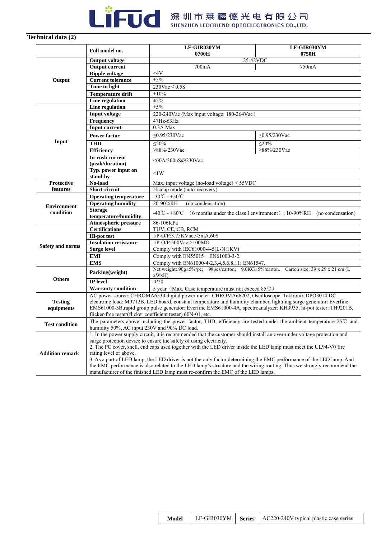

#### **Technical data (2)**

|                         | Full model no.                                                                                                                                                                                            | LF-GIR030YM<br>0700H                                                                                                                                               | LF-GIR030YM<br>0750H |  |  |
|-------------------------|-----------------------------------------------------------------------------------------------------------------------------------------------------------------------------------------------------------|--------------------------------------------------------------------------------------------------------------------------------------------------------------------|----------------------|--|--|
|                         | <b>Output voltage</b>                                                                                                                                                                                     | 25-42VDC                                                                                                                                                           |                      |  |  |
|                         | <b>Output current</b>                                                                                                                                                                                     | 700mA<br>750mA                                                                                                                                                     |                      |  |  |
|                         | <b>Ripple voltage</b>                                                                                                                                                                                     | 44V                                                                                                                                                                |                      |  |  |
| Output                  | <b>Current tolerance</b>                                                                                                                                                                                  | $\pm 5\%$                                                                                                                                                          |                      |  |  |
|                         | <b>Time to light</b>                                                                                                                                                                                      | $230$ Vac $< 0.5$ S                                                                                                                                                |                      |  |  |
|                         | <b>Temperature drift</b>                                                                                                                                                                                  | $\pm 10\%$                                                                                                                                                         |                      |  |  |
|                         | <b>Line regulation</b>                                                                                                                                                                                    | $\pm 5\%$                                                                                                                                                          |                      |  |  |
|                         | Line regulation                                                                                                                                                                                           | $\pm 5\%$                                                                                                                                                          |                      |  |  |
|                         | <b>Input voltage</b>                                                                                                                                                                                      | 220-240Vac (Max input voltage: 180-264Vac)                                                                                                                         |                      |  |  |
|                         | <b>Frequency</b>                                                                                                                                                                                          | 47Hz-63Hz                                                                                                                                                          |                      |  |  |
|                         | <b>Input current</b>                                                                                                                                                                                      | 0.3A Max                                                                                                                                                           |                      |  |  |
|                         | <b>Power factor</b>                                                                                                                                                                                       | $≥$ 0.95/230Vac                                                                                                                                                    | $≥$ 0.95/230Vac      |  |  |
| Input                   | <b>THD</b>                                                                                                                                                                                                | $<$ 20%                                                                                                                                                            | $<$ 20%              |  |  |
|                         |                                                                                                                                                                                                           | $>88\%/230$ Vac                                                                                                                                                    | $>88\%/230$ Vac      |  |  |
|                         | <b>Efficiency</b><br>In-rush current                                                                                                                                                                      |                                                                                                                                                                    |                      |  |  |
|                         | (peak/duration)                                                                                                                                                                                           | $<$ 60A/300uS@230Vac                                                                                                                                               |                      |  |  |
|                         | Typ. power input on<br>stand-by                                                                                                                                                                           | $\leq$ 1W                                                                                                                                                          |                      |  |  |
| Protective              | No-load                                                                                                                                                                                                   | Max. input voltage (no-load voltage) $<$ 55VDC                                                                                                                     |                      |  |  |
| features                | Short-circuit                                                                                                                                                                                             | Hiccup mode (auto-recovery)                                                                                                                                        |                      |  |  |
|                         | <b>Operating temperature</b>                                                                                                                                                                              | -30°C ~+50°C                                                                                                                                                       |                      |  |  |
| <b>Environment</b>      | <b>Operating humidity</b>                                                                                                                                                                                 | 20-90%RH<br>(no condensation)                                                                                                                                      |                      |  |  |
| condition               | <b>Storage</b><br>-40°C ~ +80°C (6 months under the class I environment); 10-90%RH (no condensation)<br>temperature/humidity                                                                              |                                                                                                                                                                    |                      |  |  |
|                         | <b>Atmospheric pressure</b>                                                                                                                                                                               | 86-106KPa                                                                                                                                                          |                      |  |  |
|                         | <b>Certifications</b>                                                                                                                                                                                     | TUV, CE, CB, RCM                                                                                                                                                   |                      |  |  |
|                         | <b>Hi-pot test</b>                                                                                                                                                                                        | I/P-O/P:3.75KVac,<5mA,60S                                                                                                                                          |                      |  |  |
|                         | <b>Insulation resistance</b>                                                                                                                                                                              | I/P-O/P:500Vac,>100M $\Omega$                                                                                                                                      |                      |  |  |
| <b>Safety and norms</b> | <b>Surge level</b>                                                                                                                                                                                        | Comply with IEC61000-4-5(L-N:1KV)                                                                                                                                  |                      |  |  |
|                         | <b>EMI</b>                                                                                                                                                                                                | Comply with EN55015, EN61000-3-2.                                                                                                                                  |                      |  |  |
|                         | <b>EMS</b>                                                                                                                                                                                                | Comply with EN61000-4-2,3,4,5,6,8,11; EN61547.                                                                                                                     |                      |  |  |
|                         | Packing(weight)                                                                                                                                                                                           | Net weight: 90g±5%/pc; 98pcs/carton; 9.0KG±5%/carton. Carton size: 39 x 29 x 21 cm (L<br>xWxH).                                                                    |                      |  |  |
| <b>Others</b>           | IP level                                                                                                                                                                                                  | IP20                                                                                                                                                               |                      |  |  |
|                         | <b>Warranty condition</b>                                                                                                                                                                                 | 5 year (Max. Case temperature must not exceed 85°C)                                                                                                                |                      |  |  |
|                         |                                                                                                                                                                                                           | AC power source: CHROMA6530, digital power meter: CHROMA66202, Oscilloscope: Tektronix DPO3014, DC                                                                 |                      |  |  |
| <b>Testing</b>          |                                                                                                                                                                                                           | electronic load: M9712B, LED board, constant temperature and humidity chamber, lightning surge generator: Everfine                                                 |                      |  |  |
| equipments              |                                                                                                                                                                                                           | EMS61000-5B, rapid group pulse generator: Everfine EMS61000-4A, spectroanalyzer: KH3935, hi-pot tester: TH9201B,                                                   |                      |  |  |
|                         |                                                                                                                                                                                                           | flicker-free tester(flicker coefficient tester) 60N-01, etc.                                                                                                       |                      |  |  |
| <b>Test condition</b>   |                                                                                                                                                                                                           | The parameters above including the power factor, THD, efficiency are tested under the ambient temperature 25°C and<br>humidity 50%, AC input 230V and 90% DC load. |                      |  |  |
|                         |                                                                                                                                                                                                           | 1. In the power supply circuit, it is recommended that the customer should install an over-under voltage protection and                                            |                      |  |  |
|                         |                                                                                                                                                                                                           | surge protection device to ensure the safety of using electricity.                                                                                                 |                      |  |  |
|                         |                                                                                                                                                                                                           | 2. The PC cover, shell, end caps used together with the LED driver inside the LED lamp must meet the UL94-V0 fire                                                  |                      |  |  |
| <b>Addition remark</b>  | rating level or above.                                                                                                                                                                                    |                                                                                                                                                                    |                      |  |  |
|                         |                                                                                                                                                                                                           | 3. As a part of LED lamp, the LED driver is not the only factor determining the EMC performance of the LED lamp. And                                               |                      |  |  |
|                         | the EMC performance is also related to the LED lamp's structure and the wiring routing. Thus we strongly recommend the<br>manufacturer of the finished LED lamp must re-confirm the EMC of the LED lamps. |                                                                                                                                                                    |                      |  |  |